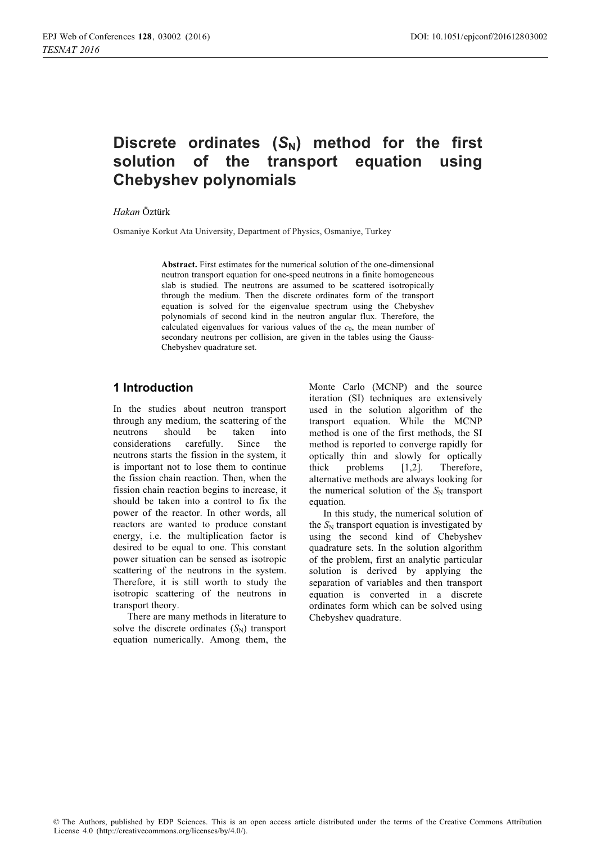### Discrete ordinates  $(S_N)$  method for the first solution of the transpo equation using **Chebyshev polynomials**

#### *Hakan* Öztürk

Osmaniye Korkut Ata University, Department of Physics, Osmaniye, Turkey

**Abstract.** First estimates for the numerical solution of the one-dimensional neutron transport equation for one-speed neutrons in a finite homogeneous slab is studied. The neutrons are assumed to be scattered isotropically through the medium. Then the discrete ordinates form of the transport equation is solved for the eigenvalue spectrum using the Chebyshev polynomials of second kind in the neutron angular flux. Therefore, the calculated eigenvalues for various values of the  $c<sub>0</sub>$ , the mean number of secondary neutrons per collision, are given in the tables using the Gauss-Chebyshev quadrature set.

# 1 Introduction

In the studies about neutron transport through any medium, the scattering of the neutrons should be taken into considerations carefully. Since the neutrons starts the fission in the system, it is important not to lose them to continue the fission chain reaction. Then, when the fission chain reaction begins to increase, it should be taken into a control to fix the power of the reactor. In other words, all reactors are wanted to produce constant energy, i.e. the multiplication factor is desired to be equal to one. This constant power situation can be sensed as isotropic scattering of the neutrons in the system. Therefore, it is still worth to study the isotropic scattering of the neutrons in transport theory.

There are many methods in literature to solve the discrete ordinates  $(S_N)$  transport equation numerically. Among them, the Monte Carlo (MCNP) and the source iteration (SI) techniques are extensively used in the solution algorithm of the transport equation. While the MCNP method is one of the first methods, the SI method is reported to converge rapidly for optically thin and slowly for optically thick problems [1,2]. Therefore, alternative methods are always looking for the numerical solution of the  $S_N$  transport equation.

In this study, the numerical solution of the  $S_N$  transport equation is investigated by using the second kind of Chebyshev quadrature sets. In the solution algorithm of the problem, first an analytic particular solution is derived by applying the separation of variables and then transport equation is converted in a discrete ordinates form which can be solved using Chebyshev quadrature.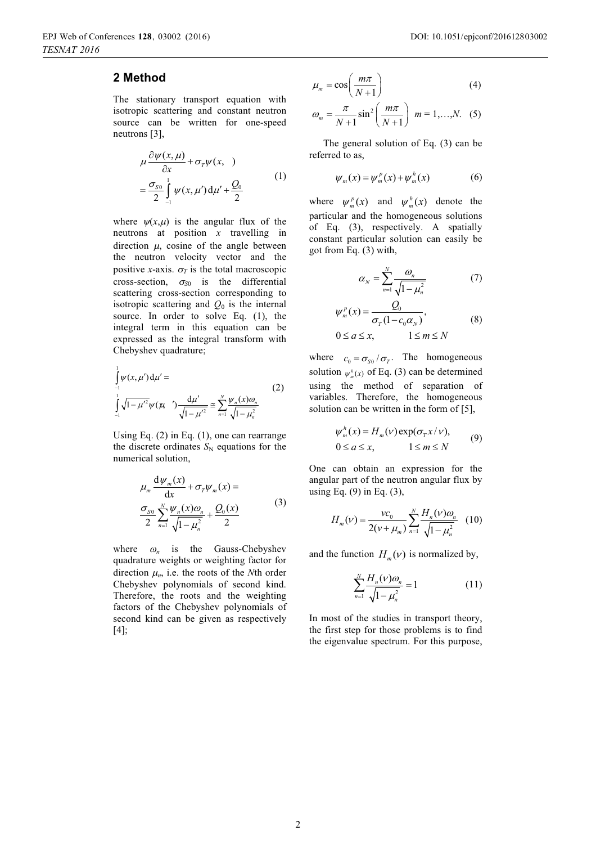# **2** Method

The stationary transport equation with isotropic scattering and constant neutron source can be written for one-speed neutrons [3],

$$
\mu \frac{\partial \psi(x,\mu)}{\partial x} + \sigma_{\tau} \psi(x, )
$$
  
= 
$$
\frac{\sigma_{so}}{2} \int_{-1}^{1} \psi(x,\mu') d\mu' + \frac{Q_0}{2}
$$
 (1)

where  $\psi(x,\mu)$  is the angular flux of the neutrons at position *x* travelling in direction  $\mu$ , cosine of the angle between the neutron velocity vector and the positive *x*-axis.  $\sigma_T$  is the total macroscopic cross-section,  $\sigma_{S0}$  is the differential scattering cross-section corresponding to isotropic scattering and  $Q_0$  is the internal source. In order to solve Eq. (1), the integral term in this equation can be expressed as the integral transform with Chebyshev quadrature;

$$
\int_{-1}^{1} \psi(x, \mu') d\mu' =
$$
\n
$$
\int_{-1}^{1} \sqrt{1 - {\mu'}^{2}} \psi(\mu') \frac{d\mu'}{\sqrt{1 - {\mu'}^{2}}} \approx \sum_{n=1}^{N} \frac{\psi_{n}(x) \omega_{n}}{\sqrt{1 - {\mu}_{n}^{2}}}
$$
\n(2)

Using Eq. (2) in Eq. (1), one can rearrange the discrete ordinates  $S_N$  equations for the numerical solution,

$$
\mu_m \frac{\mathrm{d}\psi_m(x)}{\mathrm{d}x} + \sigma_\tau \psi_m(x) =
$$
\n
$$
\frac{\sigma_{\text{SO}}}{2} \sum_{n=1}^N \frac{\psi_n(x)\omega_n}{\sqrt{1-\mu_n^2}} + \frac{Q_0(x)}{2} \tag{3}
$$

where  $\omega_n$  is the Gauss-Chebyshev quadrature weights or weighting factor for direction  $\mu_n$ , i.e. the roots of the *N*th order Chebyshev polynomials of second kind. Therefore, the roots and the weighting factors of the Chebyshev polynomials of second kind can be given as respectively [4];

$$
\mu_m = \cos\left(\frac{m\pi}{N+1}\right) \tag{4}
$$

$$
\omega_m = \frac{\pi}{N+1} \sin^2 \left( \frac{m\pi}{N+1} \right) \ m = 1, \dots, N. \quad (5)
$$

The general solution of Eq. (3) can be referred to as,

$$
\psi_m(x) = \psi_m^p(x) + \psi_m^h(x) \tag{6}
$$

where  $\psi_m^p(x)$  and  $\psi_m^h(x)$  denote the particular and the homogeneous solutions of Eq. (3), respectively. A spatially constant particular solution can easily be got from Eq. (3) with,

$$
\alpha_N = \sum_{n=1}^N \frac{\omega_n}{\sqrt{1 - \mu_n^2}} \tag{7}
$$

$$
\psi_m^p(x) = \frac{Q_0}{\sigma_T (1 - c_0 \alpha_N)},
$$
\n
$$
0 \le a \le x, \qquad 1 \le m \le N
$$
\n(8)

where  $c_0 = \sigma_{s0} / \sigma_{\tau}$ . The homogeneous solution  $\psi_m^h(x)$  of Eq. (3) can be determined using the method of separation of variables. Therefore, the homogeneous solution can be written in the form of [5],

$$
\psi_m^h(x) = H_m(\nu) \exp(\sigma_T x/\nu),
$$
  
0 \le a \le x, 1 \le m \le N (9)

One can obtain an expression for the angular part of the neutron angular flux by using Eq. (9) in Eq. (3),

$$
H_m(v) = \frac{vc_0}{2(v + \mu_m)} \sum_{n=1}^{N} \frac{H_n(v)\omega_n}{\sqrt{1 - \mu_n^2}} \quad (10)
$$

and the function  $H_m(v)$  is normalized by,

$$
\sum_{n=1}^{N} \frac{H_n(v)\omega_n}{\sqrt{1-\mu_n^2}} = 1
$$
\n(11)

In most of the studies in transport theory, the first step for those problems is to find the eigenvalue spectrum. For this purpose,